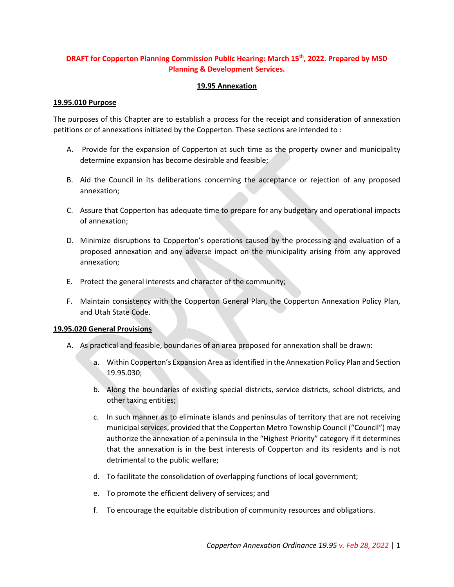# **DRAFT for Copperton Planning Commission Public Hearing: March 15<sup>th</sup>, 2022. Prepared by MSD Planning & Development Services.**

## **19.95 Annexation**

## **19.95.010 Purpose**

The purposes of this Chapter are to establish a process for the receipt and consideration of annexation petitions or of annexations initiated by the Copperton. These sections are intended to :

- A. Provide for the expansion of Copperton at such time as the property owner and municipality determine expansion has become desirable and feasible;
- B. Aid the Council in its deliberations concerning the acceptance or rejection of any proposed annexation;
- C. Assure that Copperton has adequate time to prepare for any budgetary and operational impacts of annexation;
- D. Minimize disruptions to Copperton's operations caused by the processing and evaluation of a proposed annexation and any adverse impact on the municipality arising from any approved annexation;
- E. Protect the general interests and character of the community;
- F. Maintain consistency with the Copperton General Plan, the Copperton Annexation Policy Plan, and Utah State Code.

#### **19.95.020 General Provisions**

- A. As practical and feasible, boundaries of an area proposed for annexation shall be drawn:
	- a. Within Copperton's Expansion Area as identified in the Annexation Policy Plan and Section 19.95.030;
	- b. Along the boundaries of existing special districts, service districts, school districts, and other taxing entities;
	- c. In such manner as to eliminate islands and peninsulas of territory that are not receiving municipal services, provided that the Copperton Metro Township Council ("Council") may authorize the annexation of a peninsula in the "Highest Priority" category if it determines that the annexation is in the best interests of Copperton and its residents and is not detrimental to the public welfare;
	- d. To facilitate the consolidation of overlapping functions of local government;
	- e. To promote the efficient delivery of services; and
	- f. To encourage the equitable distribution of community resources and obligations.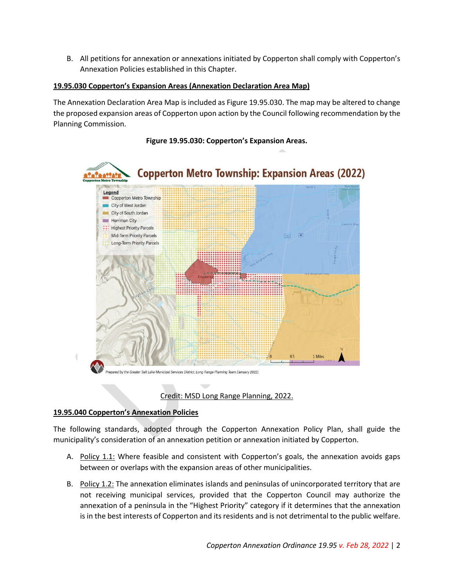B. All petitions for annexation or annexations initiated by Copperton shall comply with Copperton's Annexation Policies established in this Chapter.

# **19.95.030 Copperton's Expansion Areas (Annexation Declaration Area Map)**

The Annexation Declaration Area Map is included as Figure 19.95.030. The map may be altered to change the proposed expansion areas of Copperton upon action by the Council following recommendation by the Planning Commission.



# **Figure 19.95.030: Copperton's Expansion Areas.**

Credit: MSD Long Range Planning, 2022.

## **19.95.040 Copperton's Annexation Policies**

The following standards, adopted through the Copperton Annexation Policy Plan, shall guide the municipality's consideration of an annexation petition or annexation initiated by Copperton.

- A. Policy 1.1: Where feasible and consistent with Copperton's goals, the annexation avoids gaps between or overlaps with the expansion areas of other municipalities.
- B. Policy 1.2: The annexation eliminates islands and peninsulas of unincorporated territory that are not receiving municipal services, provided that the Copperton Council may authorize the annexation of a peninsula in the "Highest Priority" category if it determines that the annexation is in the best interests of Copperton and its residents and is not detrimental to the public welfare.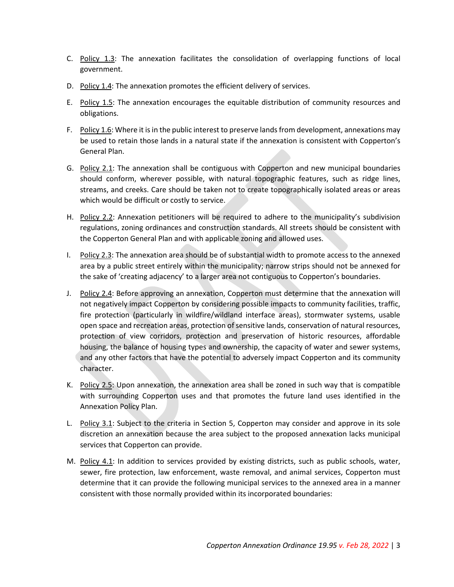- C. Policy 1.3: The annexation facilitates the consolidation of overlapping functions of local government.
- D. Policy 1.4: The annexation promotes the efficient delivery of services.
- E. Policy 1.5: The annexation encourages the equitable distribution of community resources and obligations.
- F. Policy 1.6: Where it is in the public interest to preserve lands from development, annexations may be used to retain those lands in a natural state if the annexation is consistent with Copperton's General Plan.
- G. Policy 2.1: The annexation shall be contiguous with Copperton and new municipal boundaries should conform, wherever possible, with natural topographic features, such as ridge lines, streams, and creeks. Care should be taken not to create topographically isolated areas or areas which would be difficult or costly to service.
- H. Policy 2.2: Annexation petitioners will be required to adhere to the municipality's subdivision regulations, zoning ordinances and construction standards. All streets should be consistent with the Copperton General Plan and with applicable zoning and allowed uses.
- I. Policy 2.3: The annexation area should be of substantial width to promote access to the annexed area by a public street entirely within the municipality; narrow strips should not be annexed for the sake of 'creating adjacency' to a larger area not contiguous to Copperton's boundaries.
- J. Policy 2.4: Before approving an annexation, Copperton must determine that the annexation will not negatively impact Copperton by considering possible impacts to community facilities, traffic, fire protection (particularly in wildfire/wildland interface areas), stormwater systems, usable open space and recreation areas, protection of sensitive lands, conservation of natural resources, protection of view corridors, protection and preservation of historic resources, affordable housing, the balance of housing types and ownership, the capacity of water and sewer systems, and any other factors that have the potential to adversely impact Copperton and its community character.
- K. Policy 2.5: Upon annexation, the annexation area shall be zoned in such way that is compatible with surrounding Copperton uses and that promotes the future land uses identified in the Annexation Policy Plan.
- L. Policy 3.1: Subject to the criteria in Section 5, Copperton may consider and approve in its sole discretion an annexation because the area subject to the proposed annexation lacks municipal services that Copperton can provide.
- M. Policy 4.1: In addition to services provided by existing districts, such as public schools, water, sewer, fire protection, law enforcement, waste removal, and animal services, Copperton must determine that it can provide the following municipal services to the annexed area in a manner consistent with those normally provided within its incorporated boundaries: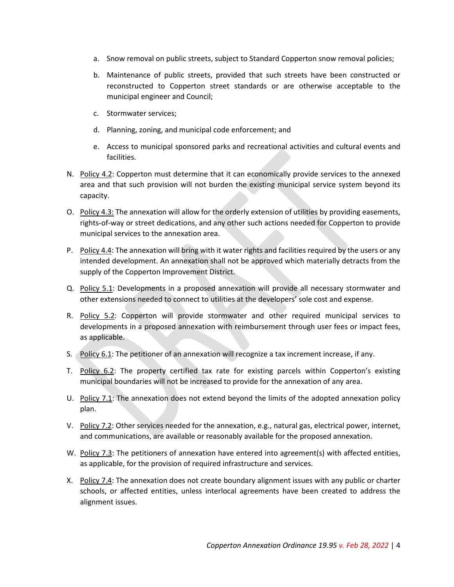- a. Snow removal on public streets, subject to Standard Copperton snow removal policies;
- b. Maintenance of public streets, provided that such streets have been constructed or reconstructed to Copperton street standards or are otherwise acceptable to the municipal engineer and Council;
- c. Stormwater services;
- d. Planning, zoning, and municipal code enforcement; and
- e. Access to municipal sponsored parks and recreational activities and cultural events and facilities.
- N. Policy 4.2: Copperton must determine that it can economically provide services to the annexed area and that such provision will not burden the existing municipal service system beyond its capacity.
- O. Policy 4.3: The annexation will allow for the orderly extension of utilities by providing easements, rights-of-way or street dedications, and any other such actions needed for Copperton to provide municipal services to the annexation area.
- P. Policy 4.4: The annexation will bring with it water rights and facilities required by the users or any intended development. An annexation shall not be approved which materially detracts from the supply of the Copperton Improvement District.
- Q. Policy 5.1: Developments in a proposed annexation will provide all necessary stormwater and other extensions needed to connect to utilities at the developers' sole cost and expense.
- R. Policy 5.2: Copperton will provide stormwater and other required municipal services to developments in a proposed annexation with reimbursement through user fees or impact fees, as applicable.
- S. Policy  $6.1$ : The petitioner of an annexation will recognize a tax increment increase, if any.
- T. Policy 6.2: The property certified tax rate for existing parcels within Copperton's existing municipal boundaries will not be increased to provide for the annexation of any area.
- U. Policy 7.1: The annexation does not extend beyond the limits of the adopted annexation policy plan.
- V. Policy 7.2: Other services needed for the annexation, e.g., natural gas, electrical power, internet, and communications, are available or reasonably available for the proposed annexation.
- W. Policy 7.3: The petitioners of annexation have entered into agreement(s) with affected entities, as applicable, for the provision of required infrastructure and services.
- X. Policy 7.4: The annexation does not create boundary alignment issues with any public or charter schools, or affected entities, unless interlocal agreements have been created to address the alignment issues.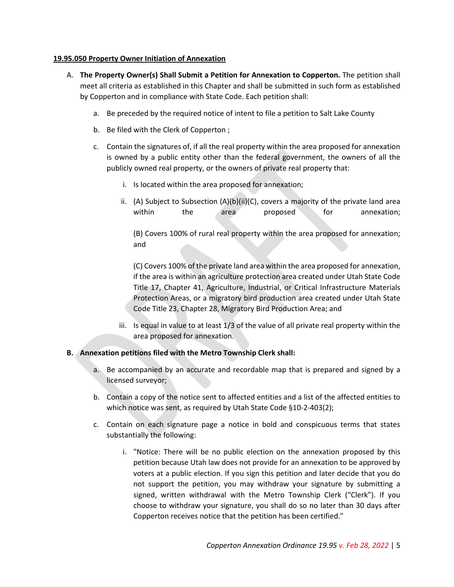#### **19.95.050 Property Owner Initiation of Annexation**

- A. **The Property Owner(s) Shall Submit a Petition for Annexation to Copperton.** The petition shall meet all criteria as established in this Chapter and shall be submitted in such form as established by Copperton and in compliance with State Code. Each petition shall:
	- a. Be preceded by the required notice of intent to file a petition to Salt Lake County
	- b. Be filed with the Clerk of Copperton ;
	- c. Contain the signatures of, if all the real property within the area proposed for annexation is owned by a public entity other than the federal government, the owners of all the publicly owned real property, or the owners of private real property that:
		- i. Is located within the area proposed for annexation;
		- ii. (A) Subject to Subsection  $(A)(b)(ii)(C)$ , covers a majority of the private land area within the area proposed for annexation;

(B) Covers 100% of rural real property within the area proposed for annexation; and

(C) Covers 100% of the private land area within the area proposed for annexation, if the area is within an agriculture protection area created under Utah State Code Title 17, Chapter 41, Agriculture, Industrial, or Critical Infrastructure Materials Protection Areas, or a migratory bird production area created under Utah State Code Title 23, Chapter 28, Migratory Bird Production Area; and

iii. Is equal in value to at least 1/3 of the value of all private real property within the area proposed for annexation.

#### **B. Annexation petitions filed with the Metro Township Clerk shall:**

- a. Be accompanied by an accurate and recordable map that is prepared and signed by a licensed surveyor;
- b. Contain a copy of the notice sent to affected entities and a list of the affected entities to which notice was sent, as required by Utah State Code §10-2-403(2);
- c. Contain on each signature page a notice in bold and conspicuous terms that states substantially the following:
	- i. "Notice: There will be no public election on the annexation proposed by this petition because Utah law does not provide for an annexation to be approved by voters at a public election. If you sign this petition and later decide that you do not support the petition, you may withdraw your signature by submitting a signed, written withdrawal with the Metro Township Clerk ("Clerk"). If you choose to withdraw your signature, you shall do so no later than 30 days after Copperton receives notice that the petition has been certified."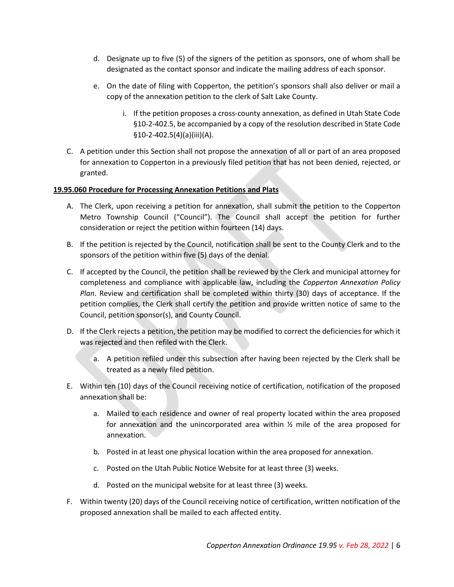- d. Designate up to five (5) of the signers of the petition as sponsors, one of whom shall be designated as the contact sponsor and indicate the mailing address of each sponsor.
- e. On the date of filing with Copperton, the petition's sponsors shall also deliver or mail a copy of the annexation petition to the clerk of Salt Lake County.
	- i. If the petition proposes a cross-county annexation, as defined in Utah State Code §10-2-402.5, be accompanied by a copy of the resolution described in State Code §10-2-402.5(4)(a)(iii)(A).
- C. A petition under this Section shall not propose the annexation of all or part of an area proposed for annexation to Copperton in a previously filed petition that has not been denied, rejected, or granted.

## **19.95.060 Procedure for Processing Annexation Petitions and Plats**

- A. The Clerk, upon receiving a petition for annexation, shall submit the petition to the Copperton Metro Township Council ("Council"). The Council shall accept the petition for further consideration or reject the petition within fourteen (14) days.
- B. If the petition is rejected by the Council, notification shall be sent to the County Clerk and to the sponsors of the petition within five (5) days of the denial.
- C. If accepted by the Council, the petition shall be reviewed by the Clerk and municipal attorney for completeness and compliance with applicable law, including the *Copperton Annexation Policy Plan*. Review and certification shall be completed within thirty (30) days of acceptance. If the petition complies, the Clerk shall certify the petition and provide written notice of same to the Council, petition sponsor(s), and County Council.
- D. If the Clerk rejects a petition, the petition may be modified to correct the deficiencies for which it was rejected and then refiled with the Clerk.
	- a. A petition refiled under this subsection after having been rejected by the Clerk shall be treated as a newly filed petition.
- E. Within ten (10) days of the Council receiving notice of certification, notification of the proposed annexation shall be:
	- a. Mailed to each residence and owner of real property located within the area proposed for annexation and the unincorporated area within ½ mile of the area proposed for annexation.
	- b. Posted in at least one physical location within the area proposed for annexation.
	- c. Posted on the Utah Public Notice Website for at least three (3) weeks.
	- d. Posted on the municipal website for at least three (3) weeks.
- F. Within twenty (20) days of the Council receiving notice of certification, written notification of the proposed annexation shall be mailed to each affected entity.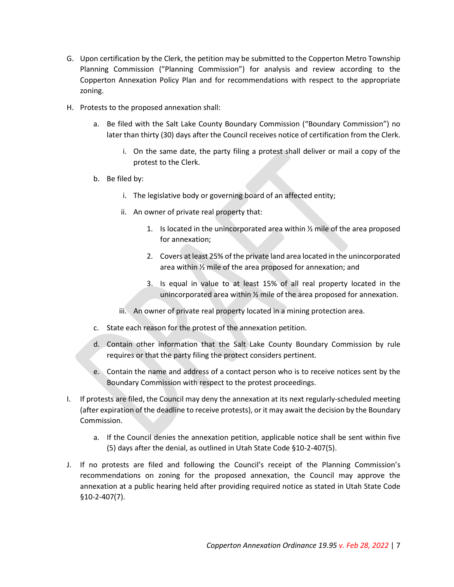- G. Upon certification by the Clerk, the petition may be submitted to the Copperton Metro Township Planning Commission ("Planning Commission") for analysis and review according to the Copperton Annexation Policy Plan and for recommendations with respect to the appropriate zoning.
- H. Protests to the proposed annexation shall:
	- a. Be filed with the Salt Lake County Boundary Commission ("Boundary Commission") no later than thirty (30) days after the Council receives notice of certification from the Clerk.
		- i. On the same date, the party filing a protest shall deliver or mail a copy of the protest to the Clerk.
	- b. Be filed by:
		- i. The legislative body or governing board of an affected entity;
		- ii. An owner of private real property that:
			- 1. Is located in the unincorporated area within  $\frac{1}{2}$  mile of the area proposed for annexation;
			- 2. Covers at least 25% of the private land area located in the unincorporated area within ½ mile of the area proposed for annexation; and
			- 3. Is equal in value to at least 15% of all real property located in the unincorporated area within ½ mile of the area proposed for annexation.
		- iii. An owner of private real property located in a mining protection area.
	- c. State each reason for the protest of the annexation petition.
	- d. Contain other information that the Salt Lake County Boundary Commission by rule requires or that the party filing the protect considers pertinent.
	- e. Contain the name and address of a contact person who is to receive notices sent by the Boundary Commission with respect to the protest proceedings.
- I. If protests are filed, the Council may deny the annexation at its next regularly-scheduled meeting (after expiration of the deadline to receive protests), or it may await the decision by the Boundary Commission.
	- a. If the Council denies the annexation petition, applicable notice shall be sent within five (5) days after the denial, as outlined in Utah State Code §10-2-407(5).
- J. If no protests are filed and following the Council's receipt of the Planning Commission's recommendations on zoning for the proposed annexation, the Council may approve the annexation at a public hearing held after providing required notice as stated in Utah State Code §10-2-407(7).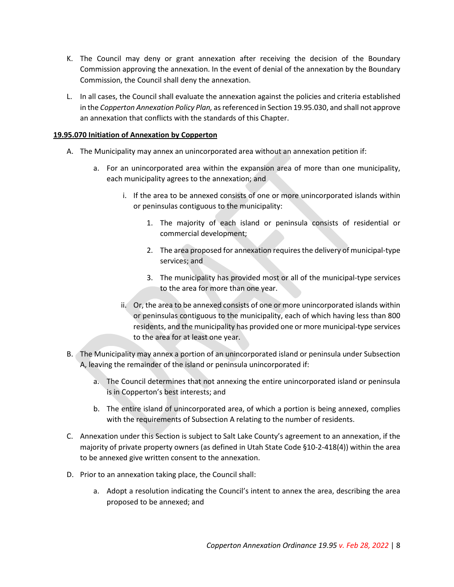- K. The Council may deny or grant annexation after receiving the decision of the Boundary Commission approving the annexation. In the event of denial of the annexation by the Boundary Commission, the Council shall deny the annexation.
- L. In all cases, the Council shall evaluate the annexation against the policies and criteria established in the *Copperton Annexation Policy Plan,* as referenced in Section 19.95.030, and shall not approve an annexation that conflicts with the standards of this Chapter.

## **19.95.070 Initiation of Annexation by Copperton**

- A. The Municipality may annex an unincorporated area without an annexation petition if:
	- a. For an unincorporated area within the expansion area of more than one municipality, each municipality agrees to the annexation; and
		- i. If the area to be annexed consists of one or more unincorporated islands within or peninsulas contiguous to the municipality:
			- 1. The majority of each island or peninsula consists of residential or commercial development;
			- 2. The area proposed for annexation requires the delivery of municipal-type services; and
			- 3. The municipality has provided most or all of the municipal-type services to the area for more than one year.
		- ii. Or, the area to be annexed consists of one or more unincorporated islands within or peninsulas contiguous to the municipality, each of which having less than 800 residents, and the municipality has provided one or more municipal-type services to the area for at least one year.
- B. The Municipality may annex a portion of an unincorporated island or peninsula under Subsection A, leaving the remainder of the island or peninsula unincorporated if:
	- a. The Council determines that not annexing the entire unincorporated island or peninsula is in Copperton's best interests; and
	- b. The entire island of unincorporated area, of which a portion is being annexed, complies with the requirements of Subsection A relating to the number of residents.
- C. Annexation under this Section is subject to Salt Lake County's agreement to an annexation, if the majority of private property owners (as defined in Utah State Code §10-2-418(4)) within the area to be annexed give written consent to the annexation.
- D. Prior to an annexation taking place, the Council shall:
	- a. Adopt a resolution indicating the Council's intent to annex the area, describing the area proposed to be annexed; and